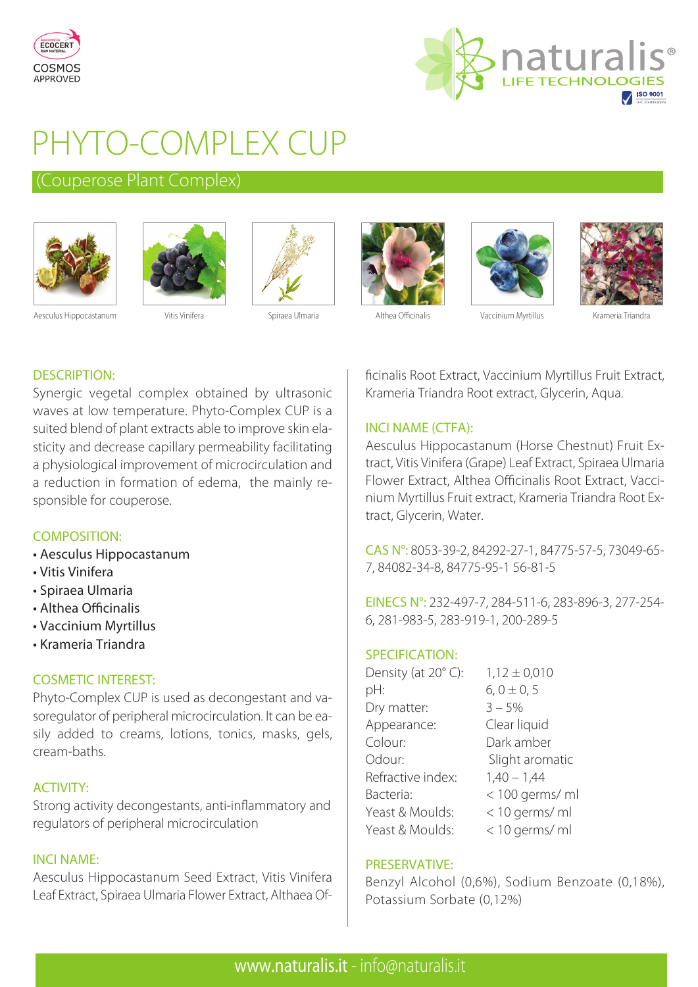



# PHYTO-COMPLEX CUP

### (Couperose Plant Complex)











Aesculus Hippocastanum Vitis Vinifera Spiraea Ulmaria Althea Officinalis Vaccinium Myrtillus Krameria Triandra

#### DESCRIPTION:

Synergic vegetal complex obtained by ultrasonic waves at low temperature. Phyto-Complex CUP is a suited blend of plant extracts able to improve skin elasticity and decrease capillary permeability facilitating a physiological improvement of microcirculation and a reduction in formation of edema, the mainly responsible for couperose.

#### COMPOSITION:

- Aesculus Hippocastanum
- Vitis Vinifera
- Spiraea Ulmaria
- Althea Officinalis
- Vaccinium Myrtillus
- Krameria Triandra

#### COSMETIC INTEREST:

Phyto-Complex CUP is used as decongestant and vasoregulator of peripheral microcirculation. It can be easily added to creams, lotions, tonics, masks, gels, cream-baths.

#### ACTIVITY:

Strong activity decongestants, anti-inflammatory and regulators of peripheral microcirculation

#### INCI NAME:

Aesculus Hippocastanum Seed Extract, Vitis Vinifera Leaf Extract, Spiraea Ulmaria Flower Extract, Althaea Officinalis Root Extract, Vaccinium Myrtillus Fruit Extract, Krameria Triandra Root extract, Glycerin, Aqua.

#### INCI NAME (CTFA):

Aesculus Hippocastanum (Horse Chestnut) Fruit Extract, Vitis Vinifera (Grape) Leaf Extract, Spiraea Ulmaria Flower Extract, Althea Officinalis Root Extract, Vaccinium Myrtillus Fruit extract, Krameria Triandra Root Extract, Glycerin, Water.

CAS N°: 8053-39-2, 84292-27-1, 84775-57-5, 73049-65- 7, 84082-34-8, 84775-95-1 56-81-5

EINECS N°: 232-497-7, 284-511-6, 283-896-3, 277-254- 6, 281-983-5, 283-919-1, 200-289-5

#### SPECIFICATION:

| Density (at 20°C): | $1,12 \pm 0,010$ |
|--------------------|------------------|
| pH:                | $6, 0 \pm 0, 5$  |
| Dry matter:        | $3 - 5%$         |
| Appearance:        | Clear liquid     |
| Colour:            | Dark amber       |
| Odour:             | Slight aromatic  |
| Refractive index:  | $1,40 - 1,44$    |
| Bacteria:          | < 100 germs/ ml  |
| Yeast & Moulds:    | < 10 germs/ ml   |
| Yeast & Moulds:    | < 10 germs/ ml   |

#### PRESERVATIVE:

Benzyl Alcohol (0,6%), Sodium Benzoate (0,18%), Potassium Sorbate (0,12%)